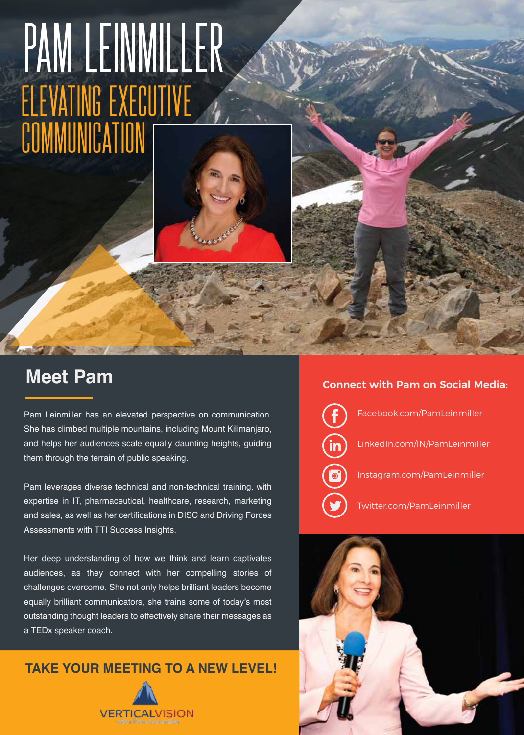# PAM LEINMILLER Elevating executive cummunication



## **Meet Pam**

Pam Leinmiller has an elevated perspective on communication. She has climbed multiple mountains, including Mount Kilimanjaro, and helps her audiences scale equally daunting heights, guiding them through the terrain of public speaking.

Pam leverages diverse technical and non-technical training, with expertise in IT, pharmaceutical, healthcare, research, marketing and sales, as well as her certifications in DISC and Driving Forces Assessments with TTI Success Insights.

Her deep understanding of how we think and learn captivates audiences, as they connect with her compelling stories of challenges overcome. She not only helps brilliant leaders become equally brilliant communicators, she trains some of today's most outstanding thought leaders to effectively share their messages as a TEDx speaker coach.

### **TAKE YOUR MEETING TO A NEW LEVEL!**



#### **Connect with Pam on Social Media:**